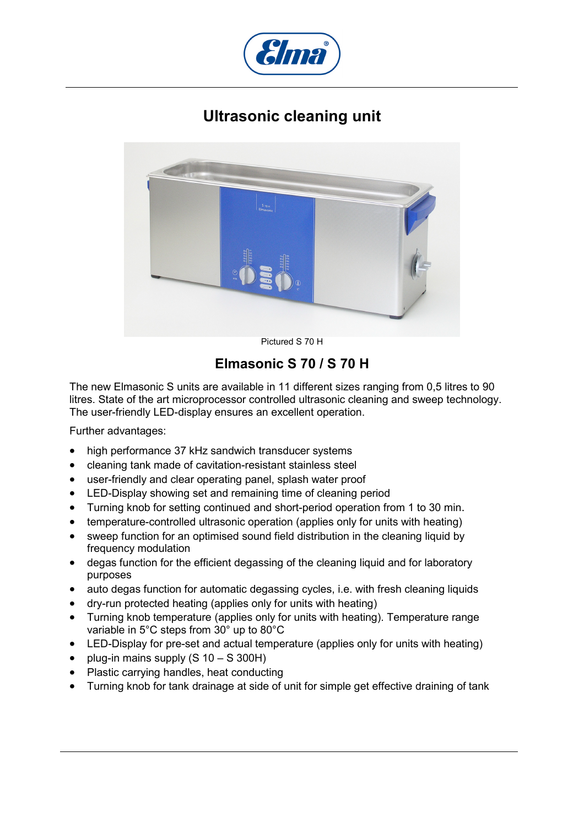

## **Ultrasonic cleaning unit**



Pictured S 70 H

## **Elmasonic S 70 / S 70 H**

The new Elmasonic S units are available in 11 different sizes ranging from 0,5 litres to 90 litres. State of the art microprocessor controlled ultrasonic cleaning and sweep technology. The user-friendly LED-display ensures an excellent operation.

Further advantages:

- high performance 37 kHz sandwich transducer systems
- cleaning tank made of cavitation-resistant stainless steel
- user-friendly and clear operating panel, splash water proof
- LED-Display showing set and remaining time of cleaning period
- Turning knob for setting continued and short-period operation from 1 to 30 min.
- temperature-controlled ultrasonic operation (applies only for units with heating)
- sweep function for an optimised sound field distribution in the cleaning liquid by frequency modulation
- degas function for the efficient degassing of the cleaning liquid and for laboratory purposes
- auto degas function for automatic degassing cycles, i.e. with fresh cleaning liquids
- dry-run protected heating (applies only for units with heating)
- Turning knob temperature (applies only for units with heating). Temperature range variable in 5°C steps from 30° up to 80°C
- LED-Display for pre-set and actual temperature (applies only for units with heating)
- plug-in mains supply (S 10 S 300H)
- Plastic carrying handles, heat conducting
- Turning knob for tank drainage at side of unit for simple get effective draining of tank